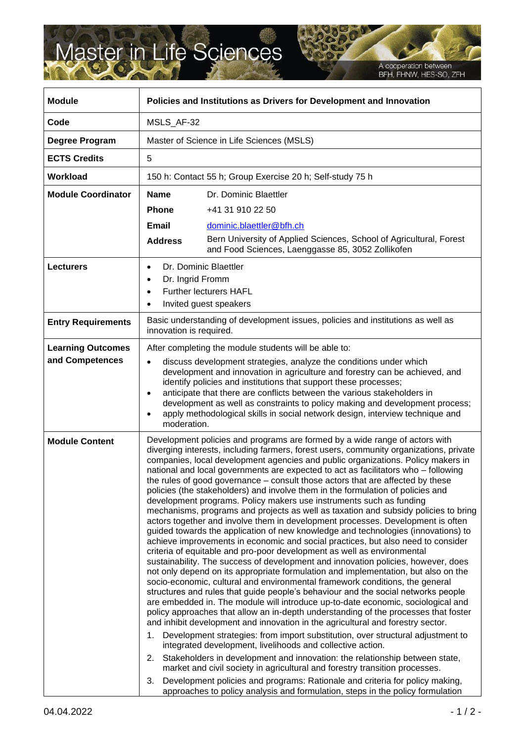## Master in Life Sciences

A cooperation between<br>BFH, FHNW, HES-SO, ZFH

| <b>Module</b>                               | Policies and Institutions as Drivers for Development and Innovation                                                                                                                                                                                                                                                                                                                                                                                                                                                                                                                                                                                                                                                                                                                                                                                                                                                                                                                                                                                                                                                                                                                                                                                                                                                                                                                                                                                                                                                                                                                                                                                                                                                                                                                                                                                                                                                                                                                                                                                                                                                                     |                                                                                                                                              |
|---------------------------------------------|-----------------------------------------------------------------------------------------------------------------------------------------------------------------------------------------------------------------------------------------------------------------------------------------------------------------------------------------------------------------------------------------------------------------------------------------------------------------------------------------------------------------------------------------------------------------------------------------------------------------------------------------------------------------------------------------------------------------------------------------------------------------------------------------------------------------------------------------------------------------------------------------------------------------------------------------------------------------------------------------------------------------------------------------------------------------------------------------------------------------------------------------------------------------------------------------------------------------------------------------------------------------------------------------------------------------------------------------------------------------------------------------------------------------------------------------------------------------------------------------------------------------------------------------------------------------------------------------------------------------------------------------------------------------------------------------------------------------------------------------------------------------------------------------------------------------------------------------------------------------------------------------------------------------------------------------------------------------------------------------------------------------------------------------------------------------------------------------------------------------------------------------|----------------------------------------------------------------------------------------------------------------------------------------------|
| Code                                        | MSLS AF-32                                                                                                                                                                                                                                                                                                                                                                                                                                                                                                                                                                                                                                                                                                                                                                                                                                                                                                                                                                                                                                                                                                                                                                                                                                                                                                                                                                                                                                                                                                                                                                                                                                                                                                                                                                                                                                                                                                                                                                                                                                                                                                                              |                                                                                                                                              |
| Degree Program                              | Master of Science in Life Sciences (MSLS)                                                                                                                                                                                                                                                                                                                                                                                                                                                                                                                                                                                                                                                                                                                                                                                                                                                                                                                                                                                                                                                                                                                                                                                                                                                                                                                                                                                                                                                                                                                                                                                                                                                                                                                                                                                                                                                                                                                                                                                                                                                                                               |                                                                                                                                              |
| <b>ECTS Credits</b>                         | 5                                                                                                                                                                                                                                                                                                                                                                                                                                                                                                                                                                                                                                                                                                                                                                                                                                                                                                                                                                                                                                                                                                                                                                                                                                                                                                                                                                                                                                                                                                                                                                                                                                                                                                                                                                                                                                                                                                                                                                                                                                                                                                                                       |                                                                                                                                              |
| <b>Workload</b>                             | 150 h: Contact 55 h; Group Exercise 20 h; Self-study 75 h                                                                                                                                                                                                                                                                                                                                                                                                                                                                                                                                                                                                                                                                                                                                                                                                                                                                                                                                                                                                                                                                                                                                                                                                                                                                                                                                                                                                                                                                                                                                                                                                                                                                                                                                                                                                                                                                                                                                                                                                                                                                               |                                                                                                                                              |
| <b>Module Coordinator</b>                   | <b>Name</b><br><b>Phone</b><br>Email<br><b>Address</b>                                                                                                                                                                                                                                                                                                                                                                                                                                                                                                                                                                                                                                                                                                                                                                                                                                                                                                                                                                                                                                                                                                                                                                                                                                                                                                                                                                                                                                                                                                                                                                                                                                                                                                                                                                                                                                                                                                                                                                                                                                                                                  | Dr. Dominic Blaettler<br>+41 31 910 22 50<br>dominic.blaettler@bfh.ch<br>Bern University of Applied Sciences, School of Agricultural, Forest |
|                                             |                                                                                                                                                                                                                                                                                                                                                                                                                                                                                                                                                                                                                                                                                                                                                                                                                                                                                                                                                                                                                                                                                                                                                                                                                                                                                                                                                                                                                                                                                                                                                                                                                                                                                                                                                                                                                                                                                                                                                                                                                                                                                                                                         | and Food Sciences, Laenggasse 85, 3052 Zollikofen                                                                                            |
| <b>Lecturers</b>                            | Dr. Dominic Blaettler<br>$\bullet$<br>Dr. Ingrid Fromm<br>$\bullet$<br><b>Further lecturers HAFL</b><br>$\bullet$<br>Invited guest speakers<br>٠                                                                                                                                                                                                                                                                                                                                                                                                                                                                                                                                                                                                                                                                                                                                                                                                                                                                                                                                                                                                                                                                                                                                                                                                                                                                                                                                                                                                                                                                                                                                                                                                                                                                                                                                                                                                                                                                                                                                                                                        |                                                                                                                                              |
| <b>Entry Requirements</b>                   | Basic understanding of development issues, policies and institutions as well as<br>innovation is required.                                                                                                                                                                                                                                                                                                                                                                                                                                                                                                                                                                                                                                                                                                                                                                                                                                                                                                                                                                                                                                                                                                                                                                                                                                                                                                                                                                                                                                                                                                                                                                                                                                                                                                                                                                                                                                                                                                                                                                                                                              |                                                                                                                                              |
| <b>Learning Outcomes</b><br>and Competences | After completing the module students will be able to:<br>discuss development strategies, analyze the conditions under which<br>development and innovation in agriculture and forestry can be achieved, and<br>identify policies and institutions that support these processes;<br>anticipate that there are conflicts between the various stakeholders in<br>development as well as constraints to policy making and development process;<br>apply methodological skills in social network design, interview technique and<br>moderation.                                                                                                                                                                                                                                                                                                                                                                                                                                                                                                                                                                                                                                                                                                                                                                                                                                                                                                                                                                                                                                                                                                                                                                                                                                                                                                                                                                                                                                                                                                                                                                                               |                                                                                                                                              |
| <b>Module Content</b>                       | Development policies and programs are formed by a wide range of actors with<br>diverging interests, including farmers, forest users, community organizations, private<br>companies, local development agencies and public organizations. Policy makers in<br>national and local governments are expected to act as facilitators who - following<br>the rules of good governance – consult those actors that are affected by these<br>policies (the stakeholders) and involve them in the formulation of policies and<br>development programs. Policy makers use instruments such as funding<br>mechanisms, programs and projects as well as taxation and subsidy policies to bring<br>actors together and involve them in development processes. Development is often<br>guided towards the application of new knowledge and technologies (innovations) to<br>achieve improvements in economic and social practices, but also need to consider<br>criteria of equitable and pro-poor development as well as environmental<br>sustainability. The success of development and innovation policies, however, does<br>not only depend on its appropriate formulation and implementation, but also on the<br>socio-economic, cultural and environmental framework conditions, the general<br>structures and rules that guide people's behaviour and the social networks people<br>are embedded in. The module will introduce up-to-date economic, sociological and<br>policy approaches that allow an in-depth understanding of the processes that foster<br>and inhibit development and innovation in the agricultural and forestry sector.<br>Development strategies: from import substitution, over structural adjustment to<br>1.<br>integrated development, livelihoods and collective action.<br>2. Stakeholders in development and innovation: the relationship between state,<br>market and civil society in agricultural and forestry transition processes.<br>Development policies and programs: Rationale and criteria for policy making,<br>3.<br>approaches to policy analysis and formulation, steps in the policy formulation |                                                                                                                                              |